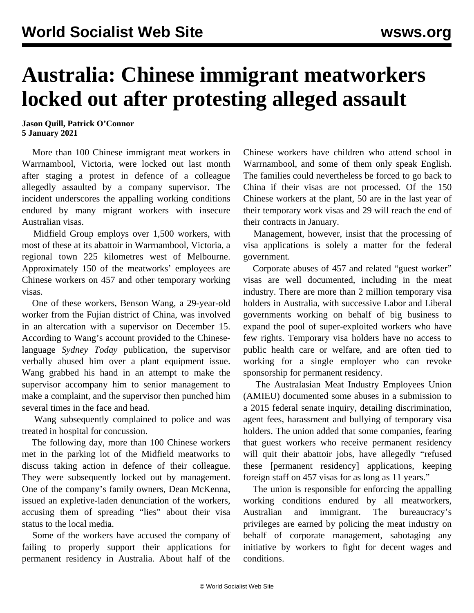## **Australia: Chinese immigrant meatworkers locked out after protesting alleged assault**

**Jason Quill, Patrick O'Connor 5 January 2021**

 More than 100 Chinese immigrant meat workers in Warrnambool, Victoria, were locked out last month after staging a protest in defence of a colleague allegedly assaulted by a company supervisor. The incident underscores the appalling working conditions endured by many migrant workers with insecure Australian visas.

 Midfield Group employs over 1,500 workers, with most of these at its abattoir in Warrnambool, Victoria, a regional town 225 kilometres west of Melbourne. Approximately 150 of the meatworks' employees are Chinese workers on 457 and other temporary working visas.

 One of these workers, Benson Wang, a 29-year-old worker from the Fujian district of China, was involved in an altercation with a supervisor on December 15. According to Wang's account provided to the Chineselanguage *Sydney Today* publication, the supervisor verbally abused him over a plant equipment issue. Wang grabbed his hand in an attempt to make the supervisor accompany him to senior management to make a complaint, and the supervisor then punched him several times in the face and head.

 Wang subsequently complained to police and was treated in hospital for concussion.

 The following day, more than 100 Chinese workers met in the parking lot of the Midfield meatworks to discuss taking action in defence of their colleague. They were subsequently locked out by management. One of the company's family owners, Dean McKenna, issued an expletive-laden denunciation of the workers, accusing them of spreading "lies" about their visa status to the local media.

 Some of the workers have accused the company of failing to properly support their applications for permanent residency in Australia. About half of the Chinese workers have children who attend school in Warrnambool, and some of them only speak English. The families could nevertheless be forced to go back to China if their visas are not processed. Of the 150 Chinese workers at the plant, 50 are in the last year of their temporary work visas and 29 will reach the end of their contracts in January.

 Management, however, insist that the processing of visa applications is solely a matter for the federal government.

 Corporate abuses of 457 and related "guest worker" visas are well documented, including in the meat industry. There are more than 2 million temporary visa holders in Australia, with successive Labor and Liberal governments working on behalf of big business to expand the pool of super-exploited workers who have few rights. Temporary visa holders have no access to public health care or welfare, and are often tied to working for a single employer who can revoke sponsorship for permanent residency.

 The Australasian Meat Industry Employees Union (AMIEU) documented some abuses in a submission to a 2015 federal senate inquiry, detailing discrimination, agent fees, harassment and bullying of temporary visa holders. The union added that some companies, fearing that guest workers who receive permanent residency will quit their abattoir jobs, have allegedly "refused these [permanent residency] applications, keeping foreign staff on 457 visas for as long as 11 years."

 The union is responsible for enforcing the appalling working conditions endured by all meatworkers, Australian and immigrant. The bureaucracy's privileges are earned by policing the meat industry on behalf of corporate management, sabotaging any initiative by workers to fight for decent wages and conditions.